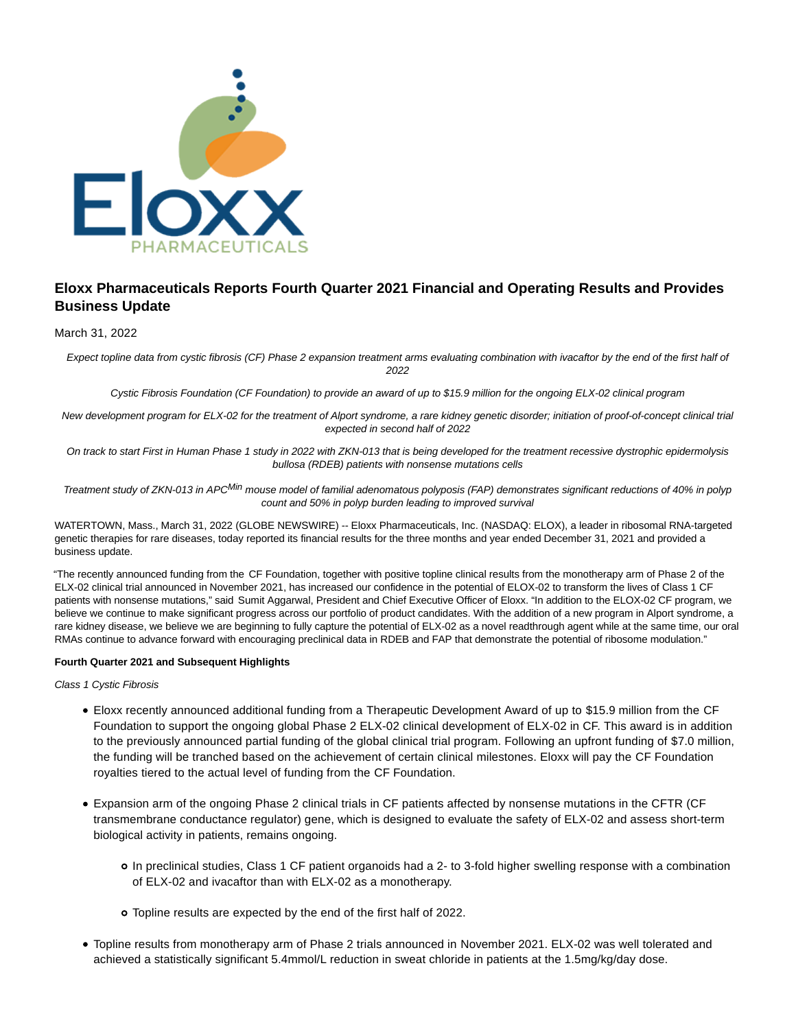

# **Eloxx Pharmaceuticals Reports Fourth Quarter 2021 Financial and Operating Results and Provides Business Update**

### March 31, 2022

Expect topline data from cystic fibrosis (CF) Phase 2 expansion treatment arms evaluating combination with ivacaftor by the end of the first half of 2022

Cystic Fibrosis Foundation (CF Foundation) to provide an award of up to \$15.9 million for the ongoing ELX-02 clinical program

New development program for ELX-02 for the treatment of Alport syndrome, a rare kidney genetic disorder; initiation of proof-of-concept clinical trial expected in second half of 2022

On track to start First in Human Phase 1 study in 2022 with ZKN-013 that is being developed for the treatment recessive dystrophic epidermolysis bullosa (RDEB) patients with nonsense mutations cells

Treatment study of ZKN-013 in APC<sup>Min</sup> mouse model of familial adenomatous polyposis (FAP) demonstrates significant reductions of 40% in polyp count and 50% in polyp burden leading to improved survival

WATERTOWN, Mass., March 31, 2022 (GLOBE NEWSWIRE) -- Eloxx Pharmaceuticals, Inc. (NASDAQ: ELOX), a leader in ribosomal RNA-targeted genetic therapies for rare diseases, today reported its financial results for the three months and year ended December 31, 2021 and provided a business update.

"The recently announced funding from the CF Foundation, together with positive topline clinical results from the monotherapy arm of Phase 2 of the ELX-02 clinical trial announced in November 2021, has increased our confidence in the potential of ELOX-02 to transform the lives of Class 1 CF patients with nonsense mutations," said Sumit Aggarwal, President and Chief Executive Officer of Eloxx. "In addition to the ELOX-02 CF program, we believe we continue to make significant progress across our portfolio of product candidates. With the addition of a new program in Alport syndrome, a rare kidney disease, we believe we are beginning to fully capture the potential of ELX-02 as a novel readthrough agent while at the same time, our oral RMAs continue to advance forward with encouraging preclinical data in RDEB and FAP that demonstrate the potential of ribosome modulation."

#### **Fourth Quarter 2021 and Subsequent Highlights**

Class 1 Cystic Fibrosis

- Eloxx recently announced additional funding from a Therapeutic Development Award of up to \$15.9 million from the CF Foundation to support the ongoing global Phase 2 ELX-02 clinical development of ELX-02 in CF. This award is in addition to the previously announced partial funding of the global clinical trial program. Following an upfront funding of \$7.0 million, the funding will be tranched based on the achievement of certain clinical milestones. Eloxx will pay the CF Foundation royalties tiered to the actual level of funding from the CF Foundation.
- Expansion arm of the ongoing Phase 2 clinical trials in CF patients affected by nonsense mutations in the CFTR (CF transmembrane conductance regulator) gene, which is designed to evaluate the safety of ELX-02 and assess short-term biological activity in patients, remains ongoing.
	- In preclinical studies, Class 1 CF patient organoids had a 2- to 3-fold higher swelling response with a combination of ELX-02 and ivacaftor than with ELX-02 as a monotherapy.
	- Topline results are expected by the end of the first half of 2022.
- Topline results from monotherapy arm of Phase 2 trials announced in November 2021. ELX-02 was well tolerated and achieved a statistically significant 5.4mmol/L reduction in sweat chloride in patients at the 1.5mg/kg/day dose.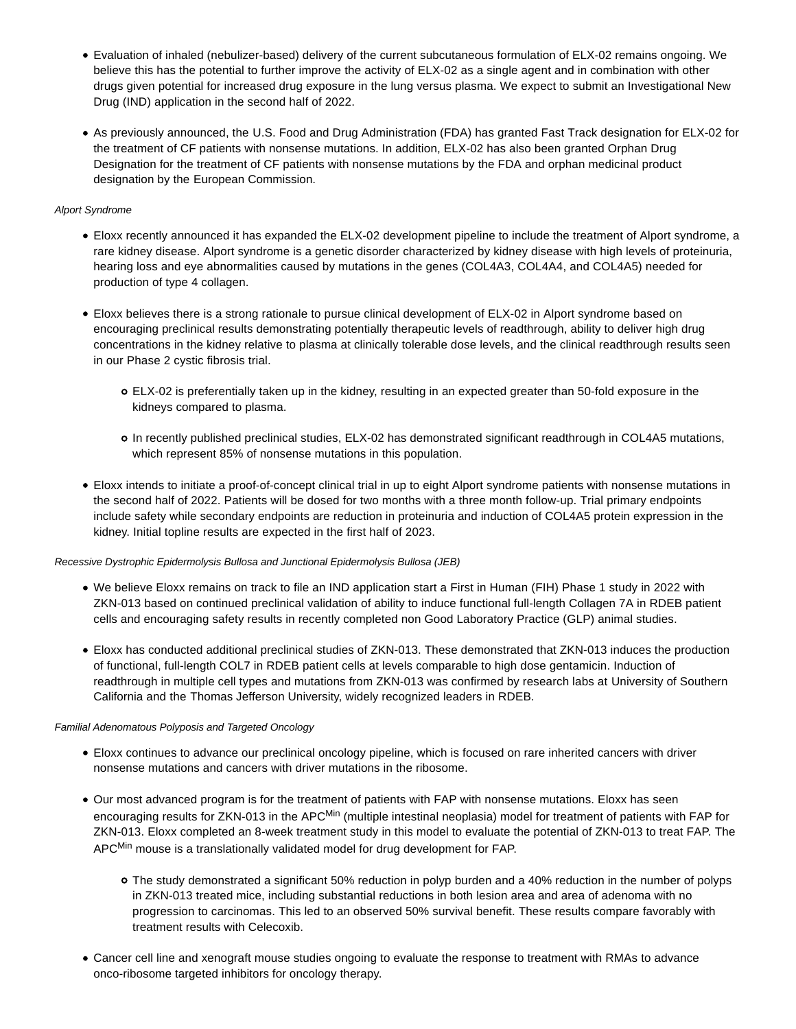- Evaluation of inhaled (nebulizer-based) delivery of the current subcutaneous formulation of ELX-02 remains ongoing. We believe this has the potential to further improve the activity of ELX-02 as a single agent and in combination with other drugs given potential for increased drug exposure in the lung versus plasma. We expect to submit an Investigational New Drug (IND) application in the second half of 2022.
- As previously announced, the U.S. Food and Drug Administration (FDA) has granted Fast Track designation for ELX-02 for the treatment of CF patients with nonsense mutations. In addition, ELX-02 has also been granted Orphan Drug Designation for the treatment of CF patients with nonsense mutations by the FDA and orphan medicinal product designation by the European Commission.

### Alport Syndrome

- Eloxx recently announced it has expanded the ELX-02 development pipeline to include the treatment of Alport syndrome, a rare kidney disease. Alport syndrome is a genetic disorder characterized by kidney disease with high levels of proteinuria, hearing loss and eye abnormalities caused by mutations in the genes (COL4A3, COL4A4, and COL4A5) needed for production of type 4 collagen.
- Eloxx believes there is a strong rationale to pursue clinical development of ELX-02 in Alport syndrome based on encouraging preclinical results demonstrating potentially therapeutic levels of readthrough, ability to deliver high drug concentrations in the kidney relative to plasma at clinically tolerable dose levels, and the clinical readthrough results seen in our Phase 2 cystic fibrosis trial.
	- ELX-02 is preferentially taken up in the kidney, resulting in an expected greater than 50-fold exposure in the kidneys compared to plasma.
	- In recently published preclinical studies, ELX-02 has demonstrated significant readthrough in COL4A5 mutations, which represent 85% of nonsense mutations in this population.
- Eloxx intends to initiate a proof-of-concept clinical trial in up to eight Alport syndrome patients with nonsense mutations in the second half of 2022. Patients will be dosed for two months with a three month follow-up. Trial primary endpoints include safety while secondary endpoints are reduction in proteinuria and induction of COL4A5 protein expression in the kidney. Initial topline results are expected in the first half of 2023.

### Recessive Dystrophic Epidermolysis Bullosa and Junctional Epidermolysis Bullosa (JEB)

- We believe Eloxx remains on track to file an IND application start a First in Human (FIH) Phase 1 study in 2022 with ZKN-013 based on continued preclinical validation of ability to induce functional full-length Collagen 7A in RDEB patient cells and encouraging safety results in recently completed non Good Laboratory Practice (GLP) animal studies.
- Eloxx has conducted additional preclinical studies of ZKN-013. These demonstrated that ZKN-013 induces the production of functional, full-length COL7 in RDEB patient cells at levels comparable to high dose gentamicin. Induction of readthrough in multiple cell types and mutations from ZKN-013 was confirmed by research labs at University of Southern California and the Thomas Jefferson University, widely recognized leaders in RDEB.

### Familial Adenomatous Polyposis and Targeted Oncology

- Eloxx continues to advance our preclinical oncology pipeline, which is focused on rare inherited cancers with driver nonsense mutations and cancers with driver mutations in the ribosome.
- Our most advanced program is for the treatment of patients with FAP with nonsense mutations. Eloxx has seen encouraging results for ZKN-013 in the APC<sup>Min</sup> (multiple intestinal neoplasia) model for treatment of patients with FAP for ZKN-013. Eloxx completed an 8-week treatment study in this model to evaluate the potential of ZKN-013 to treat FAP. The APC<sup>Min</sup> mouse is a translationally validated model for drug development for FAP.
	- The study demonstrated a significant 50% reduction in polyp burden and a 40% reduction in the number of polyps in ZKN-013 treated mice, including substantial reductions in both lesion area and area of adenoma with no progression to carcinomas. This led to an observed 50% survival benefit. These results compare favorably with treatment results with Celecoxib.
- Cancer cell line and xenograft mouse studies ongoing to evaluate the response to treatment with RMAs to advance onco-ribosome targeted inhibitors for oncology therapy.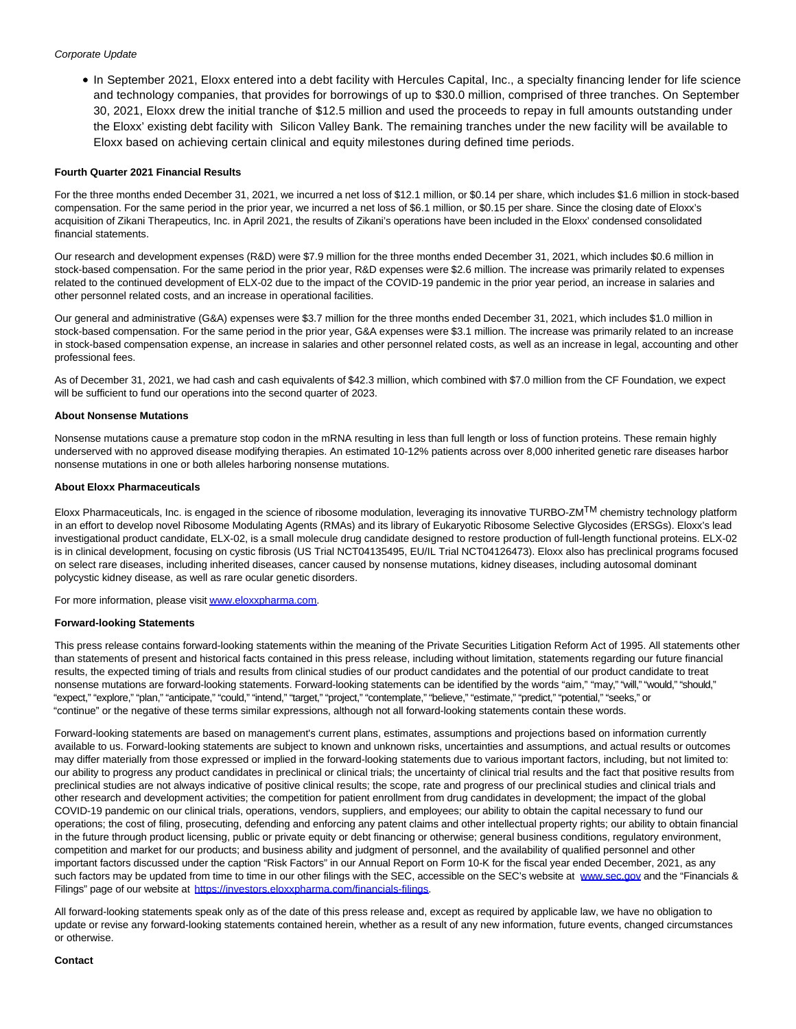In September 2021, Eloxx entered into a debt facility with Hercules Capital, Inc., a specialty financing lender for life science and technology companies, that provides for borrowings of up to \$30.0 million, comprised of three tranches. On September 30, 2021, Eloxx drew the initial tranche of \$12.5 million and used the proceeds to repay in full amounts outstanding under the Eloxx' existing debt facility with Silicon Valley Bank. The remaining tranches under the new facility will be available to Eloxx based on achieving certain clinical and equity milestones during defined time periods.

#### **Fourth Quarter 2021 Financial Results**

For the three months ended December 31, 2021, we incurred a net loss of \$12.1 million, or \$0.14 per share, which includes \$1.6 million in stock-based compensation. For the same period in the prior year, we incurred a net loss of \$6.1 million, or \$0.15 per share. Since the closing date of Eloxx's acquisition of Zikani Therapeutics, Inc. in April 2021, the results of Zikani's operations have been included in the Eloxx' condensed consolidated financial statements.

Our research and development expenses (R&D) were \$7.9 million for the three months ended December 31, 2021, which includes \$0.6 million in stock-based compensation. For the same period in the prior year, R&D expenses were \$2.6 million. The increase was primarily related to expenses related to the continued development of ELX-02 due to the impact of the COVID-19 pandemic in the prior year period, an increase in salaries and other personnel related costs, and an increase in operational facilities.

Our general and administrative (G&A) expenses were \$3.7 million for the three months ended December 31, 2021, which includes \$1.0 million in stock-based compensation. For the same period in the prior year, G&A expenses were \$3.1 million. The increase was primarily related to an increase in stock-based compensation expense, an increase in salaries and other personnel related costs, as well as an increase in legal, accounting and other professional fees.

As of December 31, 2021, we had cash and cash equivalents of \$42.3 million, which combined with \$7.0 million from the CF Foundation, we expect will be sufficient to fund our operations into the second quarter of 2023.

#### **About Nonsense Mutations**

Nonsense mutations cause a premature stop codon in the mRNA resulting in less than full length or loss of function proteins. These remain highly underserved with no approved disease modifying therapies. An estimated 10-12% patients across over 8,000 inherited genetic rare diseases harbor nonsense mutations in one or both alleles harboring nonsense mutations.

#### **About Eloxx Pharmaceuticals**

Eloxx Pharmaceuticals, Inc. is engaged in the science of ribosome modulation, leveraging its innovative TURBO-ZM<sup>TM</sup> chemistry technology platform in an effort to develop novel Ribosome Modulating Agents (RMAs) and its library of Eukaryotic Ribosome Selective Glycosides (ERSGs). Eloxx's lead investigational product candidate, ELX-02, is a small molecule drug candidate designed to restore production of full-length functional proteins. ELX-02 is in clinical development, focusing on cystic fibrosis (US Trial NCT04135495, EU/IL Trial NCT04126473). Eloxx also has preclinical programs focused on select rare diseases, including inherited diseases, cancer caused by nonsense mutations, kidney diseases, including autosomal dominant polycystic kidney disease, as well as rare ocular genetic disorders.

For more information, please visi[t www.eloxxpharma.com.](https://www.globenewswire.com/Tracker?data=OqHoTRXjxFgA2UsgJ-HOPjOlWjknyVby5Nr8UQt-pD6tBfHs41YqCfW_BxYGSvNLvDJrfyYC4REwEmMsYKHLr1GkY89PlJMA1b4UcF03TDc=)

#### **Forward-looking Statements**

This press release contains forward-looking statements within the meaning of the Private Securities Litigation Reform Act of 1995. All statements other than statements of present and historical facts contained in this press release, including without limitation, statements regarding our future financial results, the expected timing of trials and results from clinical studies of our product candidates and the potential of our product candidate to treat nonsense mutations are forward-looking statements. Forward-looking statements can be identified by the words "aim," "may," "will," "would," "should," "expect," "explore," "plan," "anticipate," "could," "intend," "target," "project," "contemplate," "believe," "estimate," "predict," "potential," "seeks," or "continue" or the negative of these terms similar expressions, although not all forward-looking statements contain these words.

Forward-looking statements are based on management's current plans, estimates, assumptions and projections based on information currently available to us. Forward-looking statements are subject to known and unknown risks, uncertainties and assumptions, and actual results or outcomes may differ materially from those expressed or implied in the forward-looking statements due to various important factors, including, but not limited to: our ability to progress any product candidates in preclinical or clinical trials; the uncertainty of clinical trial results and the fact that positive results from preclinical studies are not always indicative of positive clinical results; the scope, rate and progress of our preclinical studies and clinical trials and other research and development activities; the competition for patient enrollment from drug candidates in development; the impact of the global COVID-19 pandemic on our clinical trials, operations, vendors, suppliers, and employees; our ability to obtain the capital necessary to fund our operations; the cost of filing, prosecuting, defending and enforcing any patent claims and other intellectual property rights; our ability to obtain financial in the future through product licensing, public or private equity or debt financing or otherwise; general business conditions, regulatory environment, competition and market for our products; and business ability and judgment of personnel, and the availability of qualified personnel and other important factors discussed under the caption "Risk Factors" in our Annual Report on Form 10-K for the fiscal year ended December, 2021, as any such factors may be updated from time to time in our other filings with the SEC, accessible on the SEC's website at [www.sec.gov a](http://www.sec.gov/)nd the "Financials & Filings" page of our website at [https://investors.eloxxpharma.com/financials-filings.](https://www.globenewswire.com/Tracker?data=Qe8HIMenKh2ztLpevMarsU6VrfqIbkGcHkZkBk6sOoWHdPZxDcEn-su0b6ktmLLJeY88x7tsbj_ZjsvgGGx4Z6wUmUgQW1IxXluSuhXyfD9l0IFS1Pnya0kwPQOFUorhrVv444kGHqb2Ggm_OMN6CN-KYNL_1aC6Wf3vY3gD1yI=)

All forward-looking statements speak only as of the date of this press release and, except as required by applicable law, we have no obligation to update or revise any forward-looking statements contained herein, whether as a result of any new information, future events, changed circumstances or otherwise.

#### **Contact**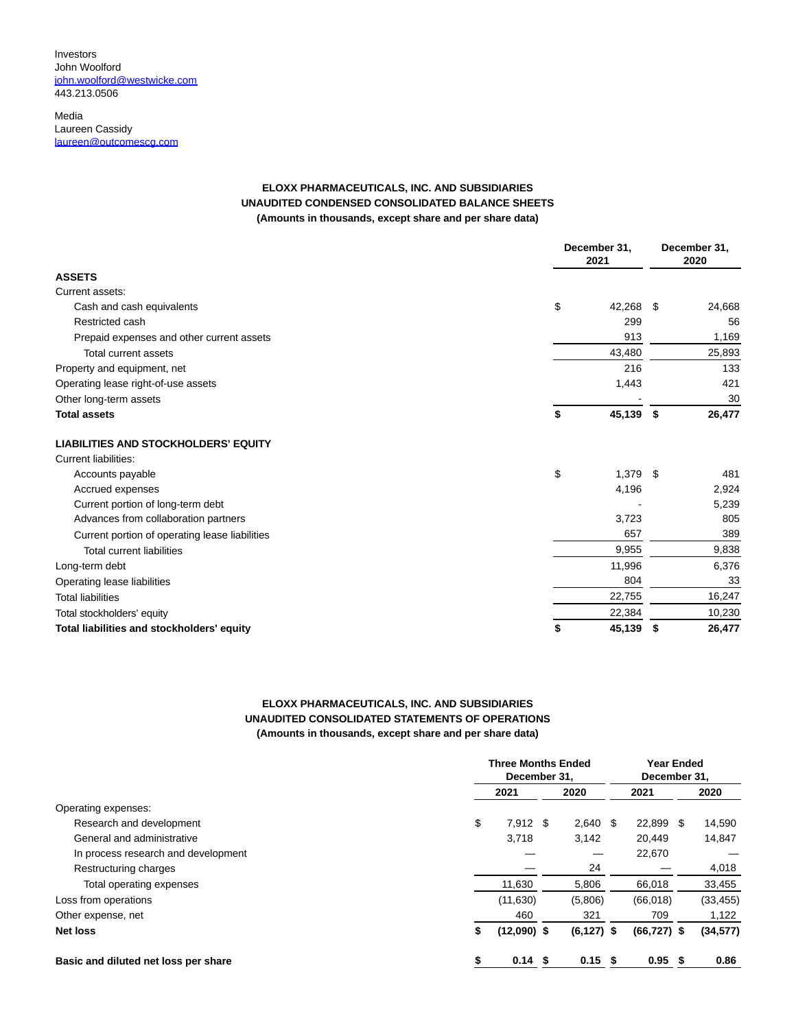Investors John Woolford [john.woolford@westwicke.com](https://www.globenewswire.com/Tracker?data=Q1dzvcokP8-_rJ5ObIYqwtnBXHWixK45bqnyl9jCxKt3q0UmOvIRjYdCeud4DSj2UufPdM1O6RAvO58Rq2-uQV4QMHUpjIXHwjRvZ34XvQCadHoc1JMFoJ5M0A2I3faZ) 443.213.0506

Media Laureen Cassidy [laureen@outcomescg.com](https://www.globenewswire.com/Tracker?data=s4OKgU4LmGidAb5xrsH5i8FVyQi2kt-KXgnZwr3CnMSjbq2EgmN1Fh-034Cygt3pOjPqimSzfuN1jMn5B-Xl3PFi3jQtlhD5Npcb57p2bJw=)

# **ELOXX PHARMACEUTICALS, INC. AND SUBSIDIARIES UNAUDITED CONDENSED CONSOLIDATED BALANCE SHEETS (Amounts in thousands, except share and per share data)**

|                                                | December 31,<br>2021 |     | December 31.<br>2020 |  |  |
|------------------------------------------------|----------------------|-----|----------------------|--|--|
| <b>ASSETS</b>                                  |                      |     |                      |  |  |
| Current assets:                                |                      |     |                      |  |  |
| Cash and cash equivalents                      | \$<br>42,268         | S   | 24,668               |  |  |
| Restricted cash                                | 299                  |     | 56                   |  |  |
| Prepaid expenses and other current assets      | 913                  |     | 1,169                |  |  |
| <b>Total current assets</b>                    | 43,480               |     | 25,893               |  |  |
| Property and equipment, net                    | 216                  |     | 133                  |  |  |
| Operating lease right-of-use assets            | 1,443                |     | 421                  |  |  |
| Other long-term assets                         |                      |     | 30                   |  |  |
| <b>Total assets</b>                            | \$<br>45,139         | \$  | 26,477               |  |  |
| <b>LIABILITIES AND STOCKHOLDERS' EQUITY</b>    |                      |     |                      |  |  |
| <b>Current liabilities:</b>                    |                      |     |                      |  |  |
| Accounts payable                               | \$<br>1.379          | -\$ | 481                  |  |  |
| Accrued expenses                               | 4,196                |     | 2,924                |  |  |
| Current portion of long-term debt              |                      |     | 5,239                |  |  |
| Advances from collaboration partners           | 3,723                |     | 805                  |  |  |
| Current portion of operating lease liabilities | 657                  |     | 389                  |  |  |
| <b>Total current liabilities</b>               | 9,955                |     | 9,838                |  |  |
| Long-term debt                                 | 11,996               |     | 6,376                |  |  |
| Operating lease liabilities                    | 804                  |     | 33                   |  |  |
| <b>Total liabilities</b>                       | 22,755               |     | 16,247               |  |  |
| Total stockholders' equity                     | 22,384               |     | 10,230               |  |  |
| Total liabilities and stockholders' equity     | \$<br>45,139         | \$  | 26,477               |  |  |

# **ELOXX PHARMACEUTICALS, INC. AND SUBSIDIARIES UNAUDITED CONSOLIDATED STATEMENTS OF OPERATIONS (Amounts in thousands, except share and per share data)**

|                                      | <b>Three Months Ended</b><br>December 31, |  |               | <b>Year Ended</b><br>December 31, |                   |    |           |
|--------------------------------------|-------------------------------------------|--|---------------|-----------------------------------|-------------------|----|-----------|
|                                      | 2021                                      |  | 2020          |                                   | 2021              |    | 2020      |
| Operating expenses:                  |                                           |  |               |                                   |                   |    |           |
| Research and development             | \$<br>7,912 \$                            |  | $2,640$ \$    |                                   | 22,899            | \$ | 14,590    |
| General and administrative           | 3,718                                     |  | 3,142         |                                   | 20,449            |    | 14,847    |
| In process research and development  |                                           |  |               |                                   | 22,670            |    |           |
| Restructuring charges                |                                           |  | 24            |                                   |                   |    | 4,018     |
| Total operating expenses             | 11,630                                    |  | 5,806         |                                   | 66,018            |    | 33,455    |
| Loss from operations                 | (11,630)                                  |  | (5,806)       |                                   | (66, 018)         |    | (33, 455) |
| Other expense, net                   | 460                                       |  | 321           |                                   | 709               |    | 1,122     |
| <b>Net loss</b>                      | \$<br>$(12,090)$ \$                       |  | $(6, 127)$ \$ |                                   | $(66, 727)$ \$    |    | (34, 577) |
| Basic and diluted net loss per share | \$<br>0.14 <sup>5</sup>                   |  | $0.15$ \$     |                                   | 0.95 <sup>5</sup> |    | 0.86      |